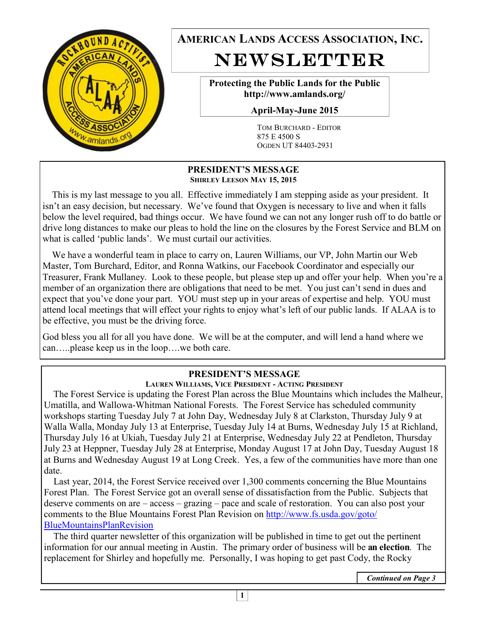

**AMERICAN LANDS ACCESS ASSOCIATION, INC.**  NEWSLETTER

> **Protecting the Public Lands for the Public http://www.amlands.org/**

**April-May-June 2015** 

TOM BURCHARD - EDITOR 875 E 4500 S OGDEN UT 84403-2931

#### **PRESIDENT'S MESSAGE SHIRLEY LEESON MAY 15, 2015**

 This is my last message to you all. Effective immediately I am stepping aside as your president. It isn't an easy decision, but necessary. We've found that Oxygen is necessary to live and when it falls below the level required, bad things occur. We have found we can not any longer rush off to do battle or drive long distances to make our pleas to hold the line on the closures by the Forest Service and BLM on what is called 'public lands'. We must curtail our activities.

 We have a wonderful team in place to carry on, Lauren Williams, our VP, John Martin our Web Master, Tom Burchard, Editor, and Ronna Watkins, our Facebook Coordinator and especially our Treasurer, Frank Mullaney. Look to these people, but please step up and offer your help. When you're a member of an organization there are obligations that need to be met. You just can't send in dues and expect that you've done your part. YOU must step up in your areas of expertise and help. YOU must attend local meetings that will effect your rights to enjoy what's left of our public lands. If ALAA is to be effective, you must be the driving force.

God bless you all for all you have done. We will be at the computer, and will lend a hand where we can…..please keep us in the loop….we both care.

## **PRESIDENT'S MESSAGE**

## **LAUREN WILLIAMS, VICE PRESIDENT - ACTING PRESIDENT**

 The Forest Service is updating the Forest Plan across the Blue Mountains which includes the Malheur, Umatilla, and Wallowa-Whitman National Forests. The Forest Service has scheduled community workshops starting Tuesday July 7 at John Day, Wednesday July 8 at Clarkston, Thursday July 9 at Walla Walla, Monday July 13 at Enterprise, Tuesday July 14 at Burns, Wednesday July 15 at Richland, Thursday July 16 at Ukiah, Tuesday July 21 at Enterprise, Wednesday July 22 at Pendleton, Thursday July 23 at Heppner, Tuesday July 28 at Enterprise, Monday August 17 at John Day, Tuesday August 18 at Burns and Wednesday August 19 at Long Creek. Yes, a few of the communities have more than one date.

 Last year, 2014, the Forest Service received over 1,300 comments concerning the Blue Mountains Forest Plan. The Forest Service got an overall sense of dissatisfaction from the Public. Subjects that deserve comments on are – access – grazing – pace and scale of restoration. You can also post your comments to the Blue Mountains Forest Plan Revision on http://www.fs.usda.gov/goto/ BlueMountainsPlanRevision

 The third quarter newsletter of this organization will be published in time to get out the pertinent information for our annual meeting in Austin. The primary order of business will be **an election**. The replacement for Shirley and hopefully me. Personally, I was hoping to get past Cody, the Rocky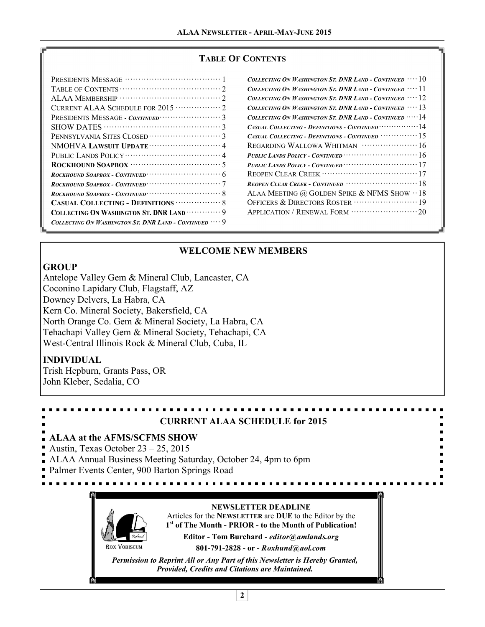#### **TABLE OF CONTENTS**

| Collecting On Washington St. DNR Land - Continued $\,\cdots 10$        |
|------------------------------------------------------------------------|
| Collecting On Washington St. DNR Land - Continued $\,\cdots 11$        |
| Collecting On Washington St. DNR Land - Continued $\,\cdots$ $12$      |
| Collecting On Washington St. DNR Land - Continued $\,\cdots\,$ 13 $\,$ |
| COLLECTING ON WASHINGTON ST. DNR LAND - CONTINUED $\cdots$ 14          |
|                                                                        |
| CASUAL COLLECTING - DEFINITIONS - CONTINUED $\cdots$                   |
|                                                                        |
| PUBLIC LANDS POLICY - CONTINUED $\cdots$                               |
|                                                                        |
|                                                                        |
|                                                                        |
| ALAA MEETING @ GOLDEN SPIKE & NFMS SHOW $\cdot\cdot$ 18                |
|                                                                        |
|                                                                        |
|                                                                        |

## **WELCOME NEW MEMBERS**

#### **GROUP**

Antelope Valley Gem & Mineral Club, Lancaster, CA Coconino Lapidary Club, Flagstaff, AZ Downey Delvers, La Habra, CA Kern Co. Mineral Society, Bakersfield, CA North Orange Co. Gem & Mineral Society, La Habra, CA Tehachapi Valley Gem & Mineral Society, Tehachapi, CA West-Central Illinois Rock & Mineral Club, Cuba, IL

## **INDIVIDUAL**

Trish Hepburn, Grants Pass, OR John Kleber, Sedalia, CO



*Permission to Reprint All or Any Part of this Newsletter is Hereby Granted, Provided, Credits and Citations are Maintained.*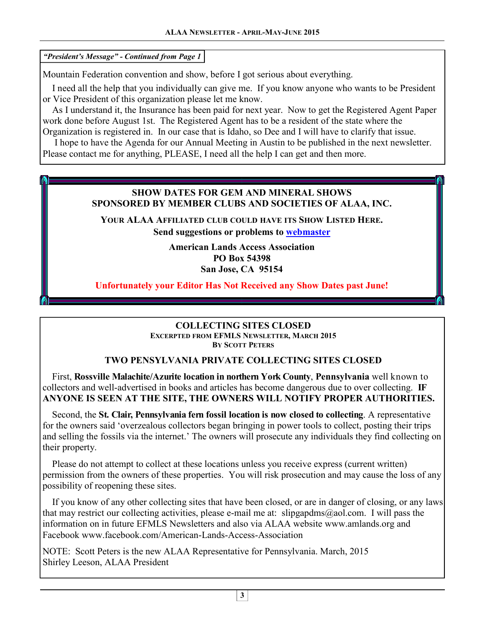*"President's Message" - Continued from Page 1* 

Mountain Federation convention and show, before I got serious about everything.

 I need all the help that you individually can give me. If you know anyone who wants to be President or Vice President of this organization please let me know.

 As I understand it, the Insurance has been paid for next year. Now to get the Registered Agent Paper work done before August 1st. The Registered Agent has to be a resident of the state where the Organization is registered in. In our case that is Idaho, so Dee and I will have to clarify that issue.

 I hope to have the Agenda for our Annual Meeting in Austin to be published in the next newsletter. Please contact me for anything, PLEASE, I need all the help I can get and then more.

## **SHOW DATES FOR GEM AND MINERAL SHOWS SPONSORED BY MEMBER CLUBS AND SOCIETIES OF ALAA, INC.**

**YOUR ALAA AFFILIATED CLUB COULD HAVE ITS SHOW LISTED HERE.** 

**Send suggestions or problems to webmaster** 

**American Lands Access Association PO Box 54398 San Jose, CA 95154** 

**Unfortunately your Editor Has Not Received any Show Dates past June!** 

## **COLLECTING SITES CLOSED EXCERPTED FROM EFMLS NEWSLETTER, MARCH 2015**

**BY SCOTT PETERS**

## **TWO PENSYLVANIA PRIVATE COLLECTING SITES CLOSED**

 First, **Rossville Malachite/Azurite location in northern York County**, **Pennsylvania** well known to collectors and well-advertised in books and articles has become dangerous due to over collecting. **IF ANYONE IS SEEN AT THE SITE, THE OWNERS WILL NOTIFY PROPER AUTHORITIES.** 

 Second, the **St. Clair, Pennsylvania fern fossil location is now closed to collecting**. A representative for the owners said 'overzealous collectors began bringing in power tools to collect, posting their trips and selling the fossils via the internet.' The owners will prosecute any individuals they find collecting on their property.

 Please do not attempt to collect at these locations unless you receive express (current written) permission from the owners of these properties. You will risk prosecution and may cause the loss of any possibility of reopening these sites.

 If you know of any other collecting sites that have been closed, or are in danger of closing, or any laws that may restrict our collecting activities, please e-mail me at: slipgapdms@aol.com. I will pass the information on in future EFMLS Newsletters and also via ALAA website www.amlands.org and Facebook www.facebook.com/American-Lands-Access-Association

NOTE: Scott Peters is the new ALAA Representative for Pennsylvania. March, 2015 Shirley Leeson, ALAA President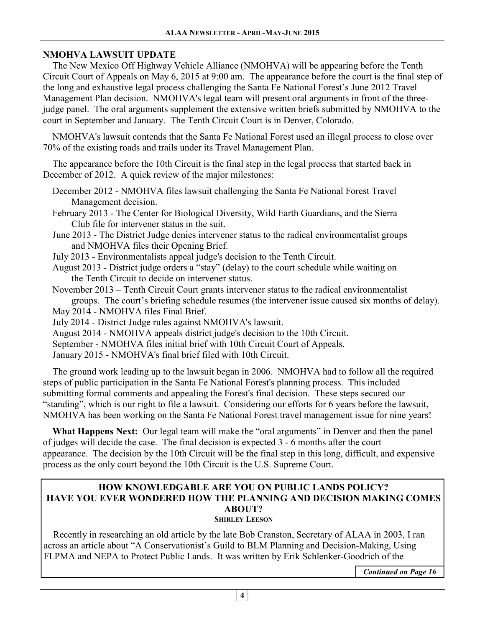## **NMOHVA LAWSUIT UPDATE**

 The New Mexico Off Highway Vehicle Alliance (NMOHVA) will be appearing before the Tenth Circuit Court of Appeals on May 6, 2015 at 9:00 am. The appearance before the court is the final step of the long and exhaustive legal process challenging the Santa Fe National Forest's June 2012 Travel Management Plan decision. NMOHVA's legal team will present oral arguments in front of the threejudge panel. The oral arguments supplement the extensive written briefs submitted by NMOHVA to the court in September and January. The Tenth Circuit Court is in Denver, Colorado. Ì

 NMOHVA's lawsuit contends that the Santa Fe National Forest used an illegal process to close over 70% of the existing roads and trails under its Travel Management Plan. ľ

 The appearance before the 10th Circuit is the final step in the legal process that started back in December of 2012. A quick review of the major milestones: Î

 December 2012 - NMOHVA files lawsuit challenging the Santa Fe National Forest Travel Management decision.

 February 2013 - The Center for Biological Diversity, Wild Earth Guardians, and the Sierra Club file for intervener status in the suit.

 June 2013 - The District Judge denies intervener status to the radical environmentalist groups and NMOHVA files their Opening Brief.

July 2013 - Environmentalists appeal judge's decision to the Tenth Circuit.

 August 2013 - District judge orders a "stay" (delay) to the court schedule while waiting on the Tenth Circuit to decide on intervener status.

 November 2013 – Tenth Circuit Court grants intervener status to the radical environmentalist groups. The court's briefing schedule resumes (the intervener issue caused six months of delay).

May 2014 - NMOHVA files Final Brief.

July 2014 - District Judge rules against NMOHVA's lawsuit.

August 2014 - NMOHVA appeals district judge's decision to the 10th Circuit.

September - NMOHVA files initial brief with 10th Circuit Court of Appeals.

January 2015 - NMOHVA's final brief filed with 10th Circuit.

 The ground work leading up to the lawsuit began in 2006. NMOHVA had to follow all the required steps of public participation in the Santa Fe National Forest's planning process. This included submitting formal comments and appealing the Forest's final decision. These steps secured our "standing", which is our right to file a lawsuit. Considering our efforts for 6 years before the lawsuit, NMOHVA has been working on the Santa Fe National Forest travel management issue for nine years! <sup>\*</sup>

 **What Happens Next:** Our legal team will make the "oral arguments" in Denver and then the panel of judges will decide the case. The final decision is expected 3 - 6 months after the court appearance. The decision by the 10th Circuit will be the final step in this long, difficult, and expensive process as the only court beyond the 10th Circuit is the U.S. Supreme Court.

#### **HOW KNOWLEDGABLE ARE YOU ON PUBLIC LANDS POLICY? HAVE YOU EVER WONDERED HOW THE PLANNING AND DECISION MAKING COMES ABOUT? SHIRLEY LEESON**

 Recently in researching an old article by the late Bob Cranston, Secretary of ALAA in 2003, I ran across an article about "A Conservationist's Guild to BLM Planning and Decision-Making, Using FLPMA and NEPA to Protect Public Lands. It was written by Erik Schlenker-Goodrich of the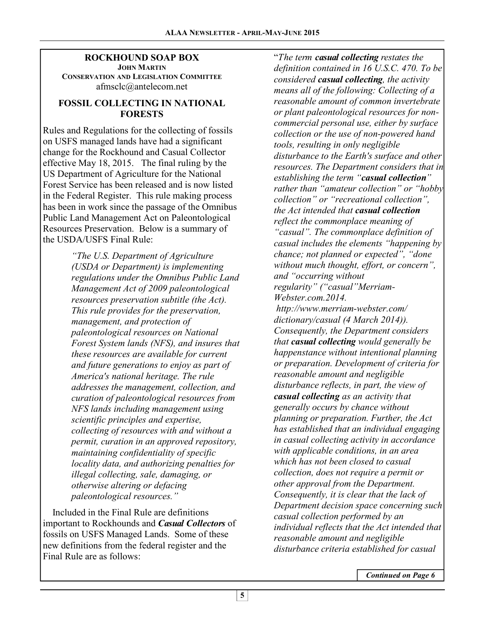#### **ROCKHOUND SOAP BOX JOHN MARTIN CONSERVATION AND LEGISLATION COMMITTEE** afmsclc@antelecom.net

## **FOSSIL COLLECTING IN NATIONAL FORESTS**

Rules and Regulations for the collecting of fossils on USFS managed lands have had a significant change for the Rockhound and Casual Collector effective May 18, 2015. The final ruling by the US Department of Agriculture for the National Forest Service has been released and is now listed in the Federal Register. This rule making process has been in work since the passage of the Omnibus Public Land Management Act on Paleontological Resources Preservation. Below is a summary of the USDA/USFS Final Rule:

> *"The U.S. Department of Agriculture (USDA or Department) is implementing regulations under the Omnibus Public Land Management Act of 2009 paleontological resources preservation subtitle (the Act). This rule provides for the preservation, management, and protection of paleontological resources on National Forest System lands (NFS), and insures that these resources are available for current and future generations to enjoy as part of America's national heritage. The rule addresses the management, collection, and curation of paleontological resources from NFS lands including management using scientific principles and expertise, collecting of resources with and without a permit, curation in an approved repository, maintaining confidentiality of specific locality data, and authorizing penalties for illegal collecting, sale, damaging, or otherwise altering or defacing paleontological resources."*

 Included in the Final Rule are definitions important to Rockhounds and *Casual Collectors* of fossils on USFS Managed Lands. Some of these new definitions from the federal register and the Final Rule are as follows:

"*The term casual collecting restates the definition contained in 16 U.S.C. 470. To be considered casual collecting, the activity means all of the following: Collecting of a reasonable amount of common invertebrate or plant paleontological resources for noncommercial personal use, either by surface collection or the use of non-powered hand tools, resulting in only negligible disturbance to the Earth's surface and other resources. The Department considers that in establishing the term "casual collection" rather than "amateur collection" or "hobby collection" or "recreational collection", the Act intended that casual collection reflect the commonplace meaning of "casual". The commonplace definition of casual includes the elements "happening by chance; not planned or expected", "done without much thought, effort, or concern", and "occurring without regularity" ("casual"Merriam-Webster.com.2014. http://www.merriam-webster.com/ dictionary/casual (4 March 2014)). Consequently, the Department considers that casual collecting would generally be happenstance without intentional planning or preparation. Development of criteria for reasonable amount and negligible disturbance reflects, in part, the view of casual collecting as an activity that generally occurs by chance without planning or preparation. Further, the Act has established that an individual engaging in casual collecting activity in accordance with applicable conditions, in an area which has not been closed to casual collection, does not require a permit or other approval from the Department. Consequently, it is clear that the lack of Department decision space concerning such casual collection performed by an individual reflects that the Act intended that reasonable amount and negligible disturbance criteria established for casual*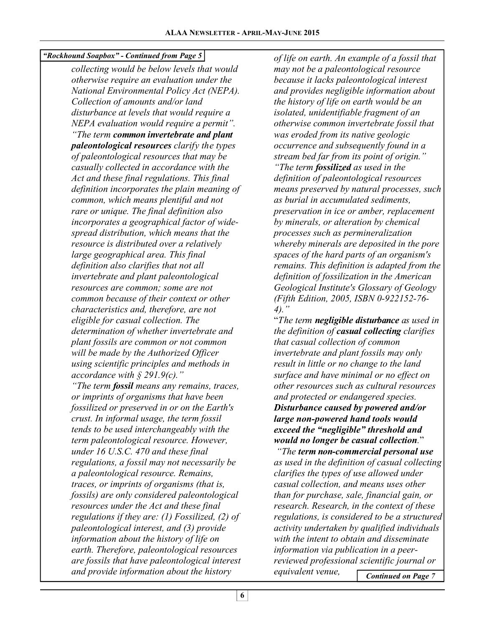*"Rockhound Soapbox" - Continued from Page 5* 

*collecting would be below levels that would otherwise require an evaluation under the National Environmental Policy Act (NEPA). Collection of amounts and/or land disturbance at levels that would require a NEPA evaluation would require a permit". "The term common invertebrate and plant paleontological resources clarify the types of paleontological resources that may be casually collected in accordance with the Act and these final regulations. This final definition incorporates the plain meaning of common, which means plentiful and not rare or unique. The final definition also incorporates a geographical factor of widespread distribution, which means that the resource is distributed over a relatively large geographical area. This final definition also clarifies that not all invertebrate and plant paleontological resources are common; some are not common because of their context or other characteristics and, therefore, are not eligible for casual collection. The determination of whether invertebrate and plant fossils are common or not common will be made by the Authorized Officer using scientific principles and methods in accordance with § 291.9(c)." "The term fossil means any remains, traces, or imprints of organisms that have been fossilized or preserved in or on the Earth's crust. In informal usage, the term fossil tends to be used interchangeably with the term paleontological resource. However, under 16 U.S.C. 470 and these final* 

*regulations, a fossil may not necessarily be a paleontological resource. Remains, traces, or imprints of organisms (that is, fossils) are only considered paleontological resources under the Act and these final regulations if they are: (1) Fossilized, (2) of paleontological interest, and (3) provide information about the history of life on earth. Therefore, paleontological resources are fossils that have paleontological interest and provide information about the history* 

*of life on earth. An example of a fossil that may not be a paleontological resource because it lacks paleontological interest and provides negligible information about the history of life on earth would be an isolated, unidentifiable fragment of an otherwise common invertebrate fossil that was eroded from its native geologic occurrence and subsequently found in a stream bed far from its point of origin." "The term fossilized as used in the definition of paleontological resources means preserved by natural processes, such as burial in accumulated sediments, preservation in ice or amber, replacement by minerals, or alteration by chemical processes such as permineralization whereby minerals are deposited in the pore spaces of the hard parts of an organism's remains. This definition is adapted from the definition of fossilization in the American Geological Institute's Glossary of Geology (Fifth Edition, 2005, ISBN 0-922152-76- 4)."* 

"*The term negligible disturbance as used in the definition of casual collecting clarifies that casual collection of common invertebrate and plant fossils may only result in little or no change to the land surface and have minimal or no effect on other resources such as cultural resources and protected or endangered species. Disturbance caused by powered and/or large non-powered hand tools would exceed the "negligible" threshold and would no longer be casual collection.*"

*More more*,  $\frac{1}{2}$  *"The term non-commercial personal use as used in the definition of casual collecting clarifies the types of use allowed under casual collection, and means uses other than for purchase, sale, financial gain, or research. Research, in the context of these regulations, is considered to be a structured activity undertaken by qualified individuals with the intent to obtain and disseminate information via publication in a peerreviewed professional scientific journal or equivalent venue, Continued on Page 7*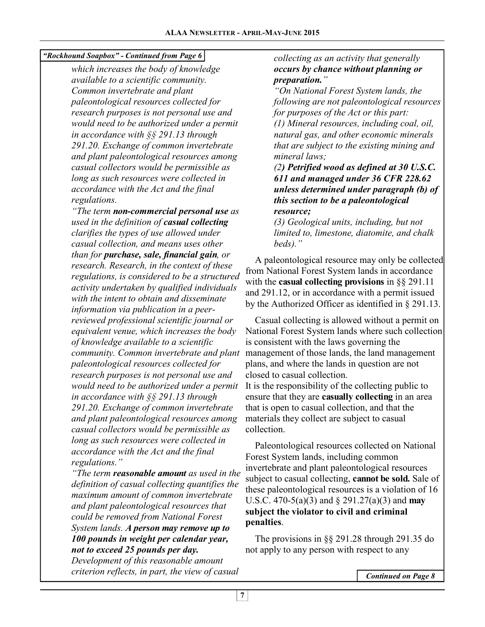## *"Rockhound Soapbox" - Continued from Page 6*

*which increases the body of knowledge available to a scientific community. Common invertebrate and plant paleontological resources collected for research purposes is not personal use and would need to be authorized under a permit in accordance with §§ 291.13 through 291.20. Exchange of common invertebrate and plant paleontological resources among casual collectors would be permissible as long as such resources were collected in accordance with the Act and the final regulations.* 

*"The term non-commercial personal use as used in the definition of casual collecting clarifies the types of use allowed under casual collection, and means uses other than for purchase, sale, financial gain, or research. Research, in the context of these regulations, is considered to be a structured activity undertaken by qualified individuals with the intent to obtain and disseminate information via publication in a peerreviewed professional scientific journal or equivalent venue, which increases the body of knowledge available to a scientific community. Common invertebrate and plant paleontological resources collected for research purposes is not personal use and would need to be authorized under a permit in accordance with §§ 291.13 through 291.20. Exchange of common invertebrate and plant paleontological resources among casual collectors would be permissible as long as such resources were collected in accordance with the Act and the final regulations."* 

*"The term reasonable amount as used in the definition of casual collecting quantifies the maximum amount of common invertebrate and plant paleontological resources that could be removed from National Forest System lands. A person may remove up to 100 pounds in weight per calendar year, not to exceed 25 pounds per day.*

*Development of this reasonable amount criterion reflects, in part, the view of casual* 

## *collecting as an activity that generally occurs by chance without planning or preparation."*

*"On National Forest System lands, the following are not paleontological resources for purposes of the Act or this part: (1) Mineral resources, including coal, oil, natural gas, and other economic minerals that are subject to the existing mining and mineral laws;* 

#### *(2) Petrified wood as defined at 30 U.S.C. 611 and managed under 36 CFR 228.62 unless determined under paragraph (b) of this section to be a paleontological resource;*

*(3) Geological units, including, but not limited to, limestone, diatomite, and chalk beds)."* 

 A paleontological resource may only be collected from National Forest System lands in accordance with the **casual collecting provisions** in §§ 291.11 and 291.12, or in accordance with a permit issued by the Authorized Officer as identified in § 291.13.

 Casual collecting is allowed without a permit on National Forest System lands where such collection is consistent with the laws governing the management of those lands, the land management plans, and where the lands in question are not closed to casual collection.

It is the responsibility of the collecting public to ensure that they are **casually collecting** in an area that is open to casual collection, and that the materials they collect are subject to casual collection.

 Paleontological resources collected on National Forest System lands, including common invertebrate and plant paleontological resources subject to casual collecting, **cannot be sold.** Sale of these paleontological resources is a violation of 16 U.S.C. 470-5(a)(3) and § 291.27(a)(3) and **may subject the violator to civil and criminal penalties**.

 The provisions in §§ 291.28 through 291.35 do not apply to any person with respect to any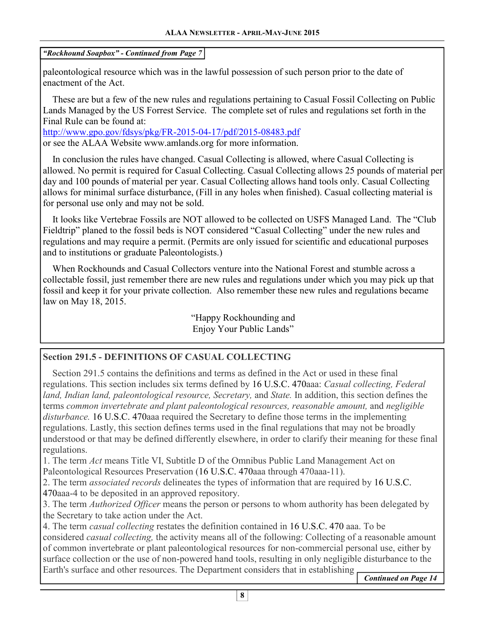*"Rockhound Soapbox" - Continued from Page 7* 

paleontological resource which was in the lawful possession of such person prior to the date of enactment of the Act.

 These are but a few of the new rules and regulations pertaining to Casual Fossil Collecting on Public Lands Managed by the US Forrest Service. The complete set of rules and regulations set forth in the Final Rule can be found at:

http://www.gpo.gov/fdsys/pkg/FR-2015-04-17/pdf/2015-08483.pdf or see the ALAA Website www.amlands.org for more information.

 In conclusion the rules have changed. Casual Collecting is allowed, where Casual Collecting is allowed. No permit is required for Casual Collecting. Casual Collecting allows 25 pounds of material per day and 100 pounds of material per year. Casual Collecting allows hand tools only. Casual Collecting allows for minimal surface disturbance, (Fill in any holes when finished). Casual collecting material is for personal use only and may not be sold.

 It looks like Vertebrae Fossils are NOT allowed to be collected on USFS Managed Land. The "Club Fieldtrip" planed to the fossil beds is NOT considered "Casual Collecting" under the new rules and regulations and may require a permit. (Permits are only issued for scientific and educational purposes and to institutions or graduate Paleontologists.) Ì

 When Rockhounds and Casual Collectors venture into the National Forest and stumble across a collectable fossil, just remember there are new rules and regulations under which you may pick up that fossil and keep it for your private collection. Also remember these new rules and regulations became law on May 18, 2015.

> "Happy Rockhounding and Enjoy Your Public Lands"

## **Section 291.5 - DEFINITIONS OF CASUAL COLLECTING**

 Section 291.5 contains the definitions and terms as defined in the Act or used in these final regulations. This section includes six terms defined by 16 U.S.C. 470aaa: *Casual collecting, Federal land, Indian land, paleontological resource, Secretary,* and *State.* In addition, this section defines the terms *common invertebrate and plant paleontological resources, reasonable amount,* and *negligible disturbance.* 16 U.S.C. 470aaa required the Secretary to define those terms in the implementing regulations. Lastly, this section defines terms used in the final regulations that may not be broadly understood or that may be defined differently elsewhere, in order to clarify their meaning for these final regulations.

1. The term *Act* means Title VI, Subtitle D of the Omnibus Public Land Management Act on Paleontological Resources Preservation (16 U.S.C. 470aaa through 470aaa-11).

2. The term *associated records* delineates the types of information that are required by 16 U.S.C.

470aaa-4 to be deposited in an approved repository.

3. The term *Authorized Officer* means the person or persons to whom authority has been delegated by the Secretary to take action under the Act.

4. The term *casual collecting* restates the definition contained in 16 U.S.C. 470 aaa. To be considered *casual collecting,* the activity means all of the following: Collecting of a reasonable amount of common invertebrate or plant paleontological resources for non-commercial personal use, either by surface collection or the use of non-powered hand tools, resulting in only negligible disturbance to the Earth's surface and other resources. The Department considers that in establishing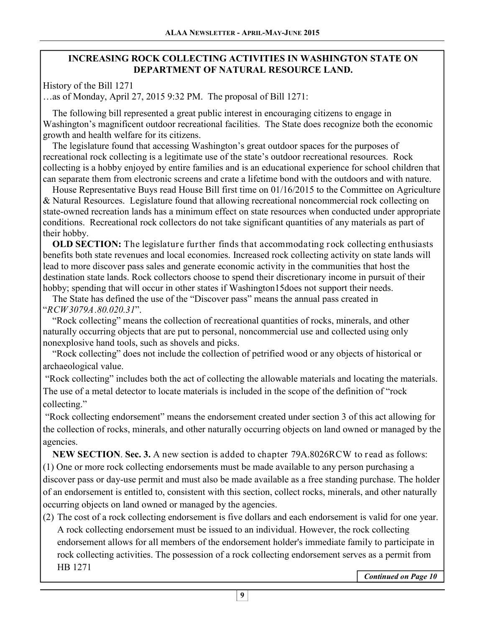## **INCREASING ROCK COLLECTING ACTIVITIES IN WASHINGTON STATE ON DEPARTMENT OF NATURAL RESOURCE LAND.**

History of the Bill 1271

…as of Monday, April 27, 2015 9:32 PM. The proposal of Bill 1271:

 The following bill represented a great public interest in encouraging citizens to engage in Washington's magnificent outdoor recreational facilities. The State does recognize both the economic growth and health welfare for its citizens.

 The legislature found that accessing Washington's great outdoor spaces for the purposes of recreational rock collecting is a legitimate use of the state's outdoor recreational resources. Rock collecting is a hobby enjoyed by entire families and is an educational experience for school children that can separate them from electronic screens and crate a lifetime bond with the outdoors and with nature.

 House Representative Buys read House Bill first time on 01/16/2015 to the Committee on Agriculture & Natural Resources. Legislature found that allowing recreational noncommercial rock collecting on state-owned recreation lands has a minimum effect on state resources when conducted under appropriate conditions. Recreational rock collectors do not take significant quantities of any materials as part of their hobby.

 **OLD SECTION:** The legislature further finds that accommodating rock collecting enthusiasts benefits both state revenues and local economies. Increased rock collecting activity on state lands will lead to more discover pass sales and generate economic activity in the communities that host the destination state lands. Rock collectors choose to spend their discretionary income in pursuit of their hobby; spending that will occur in other states if Washington15does not support their needs.

 The State has defined the use of the "Discover pass" means the annual pass created in "*RCW3079A.80.020.31*".

 "Rock collecting" means the collection of recreational quantities of rocks, minerals, and other naturally occurring objects that are put to personal, noncommercial use and collected using only nonexplosive hand tools, such as shovels and picks.

 "Rock collecting" does not include the collection of petrified wood or any objects of historical or archaeological value.

 "Rock collecting" includes both the act of collecting the allowable materials and locating the materials. The use of a metal detector to locate materials is included in the scope of the definition of "rock collecting."

 "Rock collecting endorsement" means the endorsement created under section 3 of this act allowing for the collection of rocks, minerals, and other naturally occurring objects on land owned or managed by the agencies.

 **NEW SECTION**. **Sec. 3.** A new section is added to chapter 79A.8026RCW to read as follows: (1) One or more rock collecting endorsements must be made available to any person purchasing a discover pass or day-use permit and must also be made available as a free standing purchase. The holder of an endorsement is entitled to, consistent with this section, collect rocks, minerals, and other naturally occurring objects on land owned or managed by the agencies.

(2) The cost of a rock collecting endorsement is five dollars and each endorsement is valid for one year. A rock collecting endorsement must be issued to an individual. However, the rock collecting endorsement allows for all members of the endorsement holder's immediate family to participate in rock collecting activities. The possession of a rock collecting endorsement serves as a permit from HB 1271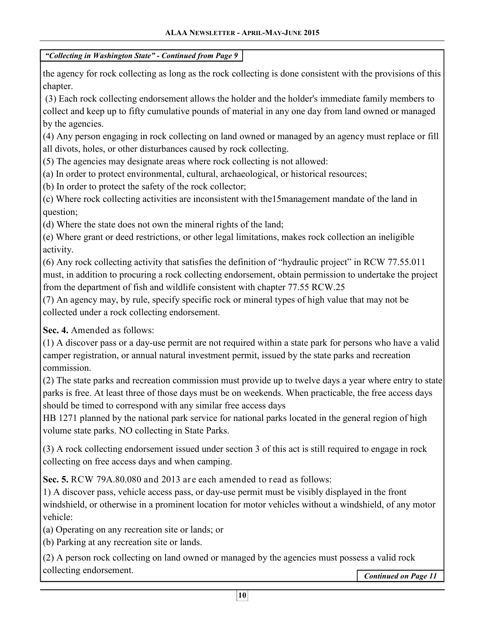the agency for rock collecting as long as the rock collecting is done consistent with the provisions of this chapter.

 (3) Each rock collecting endorsement allows the holder and the holder's immediate family members to collect and keep up to fifty cumulative pounds of material in any one day from land owned or managed by the agencies.

(4) Any person engaging in rock collecting on land owned or managed by an agency must replace or fill all divots, holes, or other disturbances caused by rock collecting.

(5) The agencies may designate areas where rock collecting is not allowed:

(a) In order to protect environmental, cultural, archaeological, or historical resources;

(b) In order to protect the safety of the rock collector;

(c) Where rock collecting activities are inconsistent with the15management mandate of the land in question;

(d) Where the state does not own the mineral rights of the land;

(e) Where grant or deed restrictions, or other legal limitations, makes rock collection an ineligible activity.

(6) Any rock collecting activity that satisfies the definition of "hydraulic project" in RCW 77.55.011 must, in addition to procuring a rock collecting endorsement, obtain permission to undertake the project from the department of fish and wildlife consistent with chapter 77.55 RCW.25

(7) An agency may, by rule, specify specific rock or mineral types of high value that may not be collected under a rock collecting endorsement.

**Sec. 4.** Amended as follows:

(1) A discover pass or a day-use permit are not required within a state park for persons who have a valid camper registration, or annual natural investment permit, issued by the state parks and recreation commission.

(2) The state parks and recreation commission must provide up to twelve days a year where entry to state parks is free. At least three of those days must be on weekends. When practicable, the free access days should be timed to correspond with any similar free access days

HB 1271 planned by the national park service for national parks located in the general region of high volume state parks. NO collecting in State Parks.

(3) A rock collecting endorsement issued under section 3 of this act is still required to engage in rock collecting on free access days and when camping.

**Sec. 5.** RCW 79A.80.080 and 2013 are each amended to read as follows:

1) A discover pass, vehicle access pass, or day-use permit must be visibly displayed in the front windshield, or otherwise in a prominent location for motor vehicles without a windshield, of any motor vehicle:

(a) Operating on any recreation site or lands; or

(b) Parking at any recreation site or lands.

(2) A person rock collecting on land owned or managed by the agencies must possess a valid rock collecting endorsement.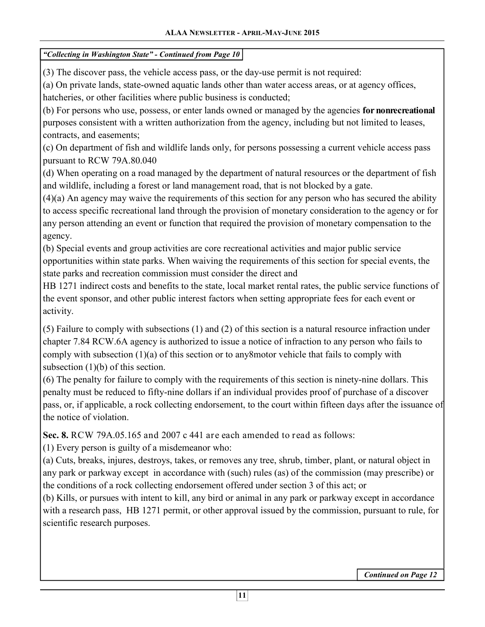(3) The discover pass, the vehicle access pass, or the day-use permit is not required:

(a) On private lands, state-owned aquatic lands other than water access areas, or at agency offices, hatcheries, or other facilities where public business is conducted;

(b) For persons who use, possess, or enter lands owned or managed by the agencies **for nonrecreational** purposes consistent with a written authorization from the agency, including but not limited to leases, contracts, and easements;

(c) On department of fish and wildlife lands only, for persons possessing a current vehicle access pass pursuant to RCW 79A.80.040

(d) When operating on a road managed by the department of natural resources or the department of fish and wildlife, including a forest or land management road, that is not blocked by a gate.

(4)(a) An agency may waive the requirements of this section for any person who has secured the ability to access specific recreational land through the provision of monetary consideration to the agency or for any person attending an event or function that required the provision of monetary compensation to the agency.

(b) Special events and group activities are core recreational activities and major public service opportunities within state parks. When waiving the requirements of this section for special events, the state parks and recreation commission must consider the direct and

HB 1271 indirect costs and benefits to the state, local market rental rates, the public service functions of the event sponsor, and other public interest factors when setting appropriate fees for each event or activity.

(5) Failure to comply with subsections (1) and (2) of this section is a natural resource infraction under chapter 7.84 RCW.6A agency is authorized to issue a notice of infraction to any person who fails to comply with subsection (1)(a) of this section or to any8motor vehicle that fails to comply with subsection (1)(b) of this section.

(6) The penalty for failure to comply with the requirements of this section is ninety-nine dollars. This penalty must be reduced to fifty-nine dollars if an individual provides proof of purchase of a discover pass, or, if applicable, a rock collecting endorsement, to the court within fifteen days after the issuance of the notice of violation.

**Sec. 8.** RCW 79A.05.165 and 2007 c 441 are each amended to read as follows:

(1) Every person is guilty of a misdemeanor who:

(a) Cuts, breaks, injures, destroys, takes, or removes any tree, shrub, timber, plant, or natural object in any park or parkway except in accordance with (such) rules (as) of the commission (may prescribe) or the conditions of a rock collecting endorsement offered under section 3 of this act; or

(b) Kills, or pursues with intent to kill, any bird or animal in any park or parkway except in accordance with a research pass, HB 1271 permit, or other approval issued by the commission, pursuant to rule, for scientific research purposes.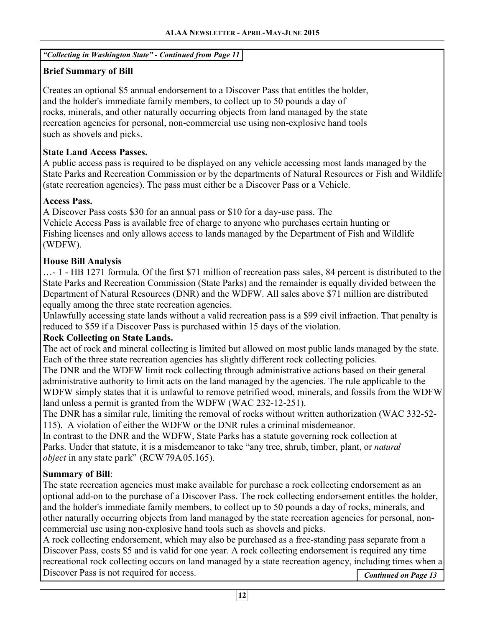# **Brief Summary of Bill**

Creates an optional \$5 annual endorsement to a Discover Pass that entitles the holder, and the holder's immediate family members, to collect up to 50 pounds a day of rocks, minerals, and other naturally occurring objects from land managed by the state recreation agencies for personal, non-commercial use using non-explosive hand tools such as shovels and picks.

## **State Land Access Passes.**

A public access pass is required to be displayed on any vehicle accessing most lands managed by the State Parks and Recreation Commission or by the departments of Natural Resources or Fish and Wildlife (state recreation agencies). The pass must either be a Discover Pass or a Vehicle.

## **Access Pass.**

A Discover Pass costs \$30 for an annual pass or \$10 for a day-use pass. The Vehicle Access Pass is available free of charge to anyone who purchases certain hunting or Fishing licenses and only allows access to lands managed by the Department of Fish and Wildlife (WDFW).

## **House Bill Analysis**

…- 1 - HB 1271 formula. Of the first \$71 million of recreation pass sales, 84 percent is distributed to the State Parks and Recreation Commission (State Parks) and the remainder is equally divided between the Department of Natural Resources (DNR) and the WDFW. All sales above \$71 million are distributed equally among the three state recreation agencies.

Unlawfully accessing state lands without a valid recreation pass is a \$99 civil infraction. That penalty is reduced to \$59 if a Discover Pass is purchased within 15 days of the violation.

## **Rock Collecting on State Lands.**

The act of rock and mineral collecting is limited but allowed on most public lands managed by the state. Each of the three state recreation agencies has slightly different rock collecting policies.

The DNR and the WDFW limit rock collecting through administrative actions based on their general administrative authority to limit acts on the land managed by the agencies. The rule applicable to the WDFW simply states that it is unlawful to remove petrified wood, minerals, and fossils from the WDFW land unless a permit is granted from the WDFW (WAC 232-12-251).

The DNR has a similar rule, limiting the removal of rocks without written authorization (WAC 332-52- 115). A violation of either the WDFW or the DNR rules a criminal misdemeanor.

In contrast to the DNR and the WDFW, State Parks has a statute governing rock collection at Parks. Under that statute, it is a misdemeanor to take "any tree, shrub, timber, plant, or *natural object* in any state park" (RCW 79A.05.165).

## **Summary of Bill**:

The state recreation agencies must make available for purchase a rock collecting endorsement as an optional add-on to the purchase of a Discover Pass. The rock collecting endorsement entitles the holder, and the holder's immediate family members, to collect up to 50 pounds a day of rocks, minerals, and other naturally occurring objects from land managed by the state recreation agencies for personal, noncommercial use using non-explosive hand tools such as shovels and picks.

A rock collecting endorsement, which may also be purchased as a free-standing pass separate from a Discover Pass, costs \$5 and is valid for one year. A rock collecting endorsement is required any time recreational rock collecting occurs on land managed by a state recreation agency, including times when a Discover Pass is not required for access. *Continued on Page 13*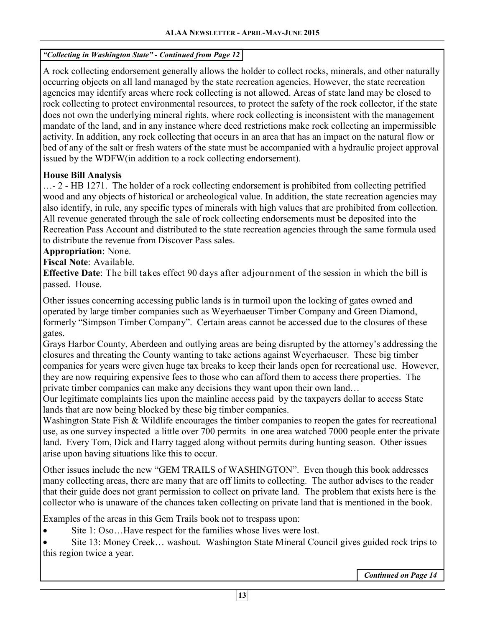A rock collecting endorsement generally allows the holder to collect rocks, minerals, and other naturally occurring objects on all land managed by the state recreation agencies. However, the state recreation agencies may identify areas where rock collecting is not allowed. Areas of state land may be closed to rock collecting to protect environmental resources, to protect the safety of the rock collector, if the state does not own the underlying mineral rights, where rock collecting is inconsistent with the management mandate of the land, and in any instance where deed restrictions make rock collecting an impermissible activity. In addition, any rock collecting that occurs in an area that has an impact on the natural flow or bed of any of the salt or fresh waters of the state must be accompanied with a hydraulic project approval issued by the WDFW(in addition to a rock collecting endorsement).

## **House Bill Analysis**

 $\ldots$  - 2 - HB 1271. The holder of a rock collecting endorsement is prohibited from collecting petrified wood and any objects of historical or archeological value. In addition, the state recreation agencies may also identify, in rule, any specific types of minerals with high values that are prohibited from collection. All revenue generated through the sale of rock collecting endorsements must be deposited into the Recreation Pass Account and distributed to the state recreation agencies through the same formula used to distribute the revenue from Discover Pass sales.

**Appropriation**: None.

**Fiscal Note**: Available.

**Effective Date**: The bill takes effect 90 days after adjournment of the session in which the bill is passed. House.

Other issues concerning accessing public lands is in turmoil upon the locking of gates owned and operated by large timber companies such as Weyerhaeuser Timber Company and Green Diamond, formerly "Simpson Timber Company". Certain areas cannot be accessed due to the closures of these gates.

Grays Harbor County, Aberdeen and outlying areas are being disrupted by the attorney's addressing the closures and threating the County wanting to take actions against Weyerhaeuser. These big timber companies for years were given huge tax breaks to keep their lands open for recreational use. However, they are now requiring expensive fees to those who can afford them to access there properties. The private timber companies can make any decisions they want upon their own land…

Our legitimate complaints lies upon the mainline access paid by the taxpayers dollar to access State lands that are now being blocked by these big timber companies.

Washington State Fish & Wildlife encourages the timber companies to reopen the gates for recreational use, as one survey inspected a little over 700 permits in one area watched 7000 people enter the private land. Every Tom, Dick and Harry tagged along without permits during hunting season. Other issues arise upon having situations like this to occur.

Other issues include the new "GEM TRAILS of WASHINGTON". Even though this book addresses many collecting areas, there are many that are off limits to collecting. The author advises to the reader that their guide does not grant permission to collect on private land. The problem that exists here is the collector who is unaware of the chances taken collecting on private land that is mentioned in the book.

Examples of the areas in this Gem Trails book not to trespass upon:

• Site 1: Oso...Have respect for the families whose lives were lost.

• Site 13: Money Creek... washout. Washington State Mineral Council gives guided rock trips to this region twice a year.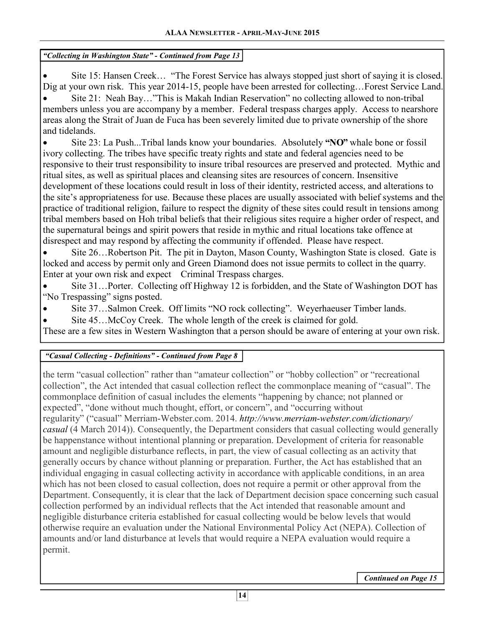Site 15: Hansen Creek... "The Forest Service has always stopped just short of saying it is closed. Dig at your own risk. This year 2014-15, people have been arrested for collecting…Forest Service Land. • Site 21: Neah Bay…"This is Makah Indian Reservation" no collecting allowed to non-tribal members unless you are accompany by a member. Federal trespass charges apply. Access to nearshore areas along the Strait of Juan de Fuca has been severely limited due to private ownership of the shore and tidelands.

• Site 23: La Push...Tribal lands know your boundaries. Absolutely **"NO"** whale bone or fossil ivory collecting. The tribes have specific treaty rights and state and federal agencies need to be responsive to their trust responsibility to insure tribal resources are preserved and protected. Mythic and ritual sites, as well as spiritual places and cleansing sites are resources of concern. Insensitive development of these locations could result in loss of their identity, restricted access, and alterations to the site's appropriateness for use. Because these places are usually associated with belief systems and the practice of traditional religion, failure to respect the dignity of these sites could result in tensions among tribal members based on Hoh tribal beliefs that their religious sites require a higher order of respect, and the supernatural beings and spirit powers that reside in mythic and ritual locations take offence at disrespect and may respond by affecting the community if offended. Please have respect.

• Site 26…Robertson Pit. The pit in Dayton, Mason County, Washington State is closed. Gate is locked and access by permit only and Green Diamond does not issue permits to collect in the quarry. Enter at your own risk and expect Criminal Trespass charges.

• Site 31…Porter. Collecting off Highway 12 is forbidden, and the State of Washington DOT has "No Trespassing" signs posted.

- Site 37…Salmon Creek. Off limits "NO rock collecting". Weyerhaeuser Timber lands.
- Site 45...McCoy Creek. The whole length of the creek is claimed for gold.

These are a few sites in Western Washington that a person should be aware of entering at your own risk.

## *"Casual Collecting - Definitions" - Continued from Page 8*

the term "casual collection" rather than "amateur collection" or "hobby collection" or "recreational collection", the Act intended that casual collection reflect the commonplace meaning of "casual". The commonplace definition of casual includes the elements "happening by chance; not planned or expected", "done without much thought, effort, or concern", and "occurring without regularity" ("casual" Merriam-Webster.com. 2014. *http://www.merriam-webster.com/dictionary/ casual* (4 March 2014)). Consequently, the Department considers that casual collecting would generally be happenstance without intentional planning or preparation. Development of criteria for reasonable amount and negligible disturbance reflects, in part, the view of casual collecting as an activity that generally occurs by chance without planning or preparation. Further, the Act has established that an individual engaging in casual collecting activity in accordance with applicable conditions, in an area which has not been closed to casual collection, does not require a permit or other approval from the Department. Consequently, it is clear that the lack of Department decision space concerning such casual collection performed by an individual reflects that the Act intended that reasonable amount and negligible disturbance criteria established for casual collecting would be below levels that would otherwise require an evaluation under the National Environmental Policy Act (NEPA). Collection of amounts and/or land disturbance at levels that would require a NEPA evaluation would require a permit.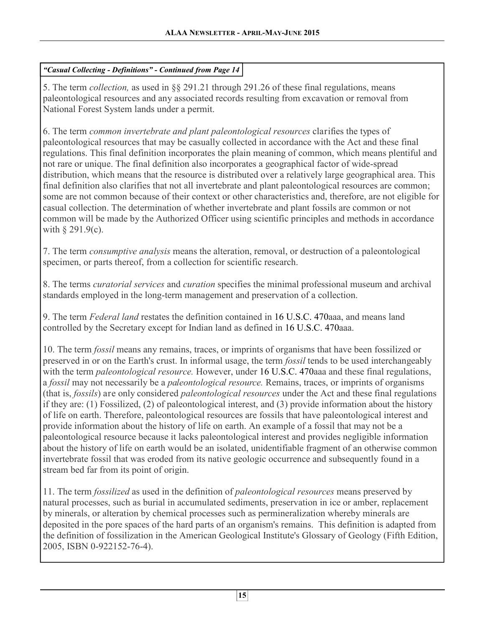## *"Casual Collecting - Definitions" - Continued from Page 14*

5. The term *collection,* as used in §§ 291.21 through 291.26 of these final regulations, means paleontological resources and any associated records resulting from excavation or removal from National Forest System lands under a permit.

6. The term *common invertebrate and plant paleontological resources* clarifies the types of paleontological resources that may be casually collected in accordance with the Act and these final regulations. This final definition incorporates the plain meaning of common, which means plentiful and not rare or unique. The final definition also incorporates a geographical factor of wide-spread distribution, which means that the resource is distributed over a relatively large geographical area. This final definition also clarifies that not all invertebrate and plant paleontological resources are common; some are not common because of their context or other characteristics and, therefore, are not eligible for casual collection. The determination of whether invertebrate and plant fossils are common or not common will be made by the Authorized Officer using scientific principles and methods in accordance with  $\S$  291.9(c).

7. The term *consumptive analysis* means the alteration, removal, or destruction of a paleontological specimen, or parts thereof, from a collection for scientific research.

8. The terms *curatorial services* and *curation* specifies the minimal professional museum and archival standards employed in the long-term management and preservation of a collection.

9. The term *Federal land* restates the definition contained in 16 U.S.C. 470aaa, and means land controlled by the Secretary except for Indian land as defined in 16 U.S.C. 470aaa.

10. The term *fossil* means any remains, traces, or imprints of organisms that have been fossilized or preserved in or on the Earth's crust. In informal usage, the term *fossil* tends to be used interchangeably with the term *paleontological resource.* However, under 16 U.S.C. 470aaa and these final regulations, a *fossil* may not necessarily be a *paleontological resource.* Remains, traces, or imprints of organisms (that is, *fossils*) are only considered *paleontological resources* under the Act and these final regulations if they are: (1) Fossilized, (2) of paleontological interest, and (3) provide information about the history of life on earth. Therefore, paleontological resources are fossils that have paleontological interest and provide information about the history of life on earth. An example of a fossil that may not be a paleontological resource because it lacks paleontological interest and provides negligible information about the history of life on earth would be an isolated, unidentifiable fragment of an otherwise common invertebrate fossil that was eroded from its native geologic occurrence and subsequently found in a stream bed far from its point of origin.

11. The term *fossilized* as used in the definition of *paleontological resources* means preserved by natural processes, such as burial in accumulated sediments, preservation in ice or amber, replacement by minerals, or alteration by chemical processes such as permineralization whereby minerals are deposited in the pore spaces of the hard parts of an organism's remains. This definition is adapted from the definition of fossilization in the American Geological Institute's Glossary of Geology (Fifth Edition, 2005, ISBN 0-922152-76-4).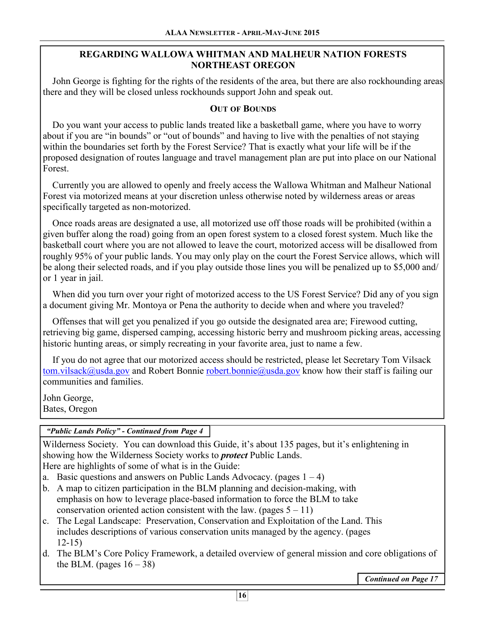## **REGARDING WALLOWA WHITMAN AND MALHEUR NATION FORESTS NORTHEAST OREGON**

 John George is fighting for the rights of the residents of the area, but there are also rockhounding areas there and they will be closed unless rockhounds support John and speak out.

## **OUT OF BOUNDS**

 Do you want your access to public lands treated like a basketball game, where you have to worry about if you are "in bounds" or "out of bounds" and having to live with the penalties of not staying within the boundaries set forth by the Forest Service? That is exactly what your life will be if the proposed designation of routes language and travel management plan are put into place on our National Forest.

 Currently you are allowed to openly and freely access the Wallowa Whitman and Malheur National Forest via motorized means at your discretion unless otherwise noted by wilderness areas or areas specifically targeted as non-motorized.

 Once roads areas are designated a use, all motorized use off those roads will be prohibited (within a given buffer along the road) going from an open forest system to a closed forest system. Much like the basketball court where you are not allowed to leave the court, motorized access will be disallowed from roughly 95% of your public lands. You may only play on the court the Forest Service allows, which will be along their selected roads, and if you play outside those lines you will be penalized up to \$5,000 and/ or 1 year in jail.

 When did you turn over your right of motorized access to the US Forest Service? Did any of you sign a document giving Mr. Montoya or Pena the authority to decide when and where you traveled?

 Offenses that will get you penalized if you go outside the designated area are; Firewood cutting, retrieving big game, dispersed camping, accessing historic berry and mushroom picking areas, accessing historic hunting areas, or simply recreating in your favorite area, just to name a few.

 If you do not agree that our motorized access should be restricted, please let Secretary Tom Vilsack tom.vilsack@usda.gov and Robert Bonnie robert.bonnie@usda.gov know how their staff is failing our communities and families.

John George, Bates, Oregon

## *"Public Lands Policy" - Continued from Page 4*

Wilderness Society. You can download this Guide, it's about 135 pages, but it's enlightening in showing how the Wilderness Society works to *protect* Public Lands. Here are highlights of some of what is in the Guide:

- a. Basic questions and answers on Public Lands Advocacy. (pages  $1 4$ )
- b. A map to citizen participation in the BLM planning and decision-making, with emphasis on how to leverage place-based information to force the BLM to take conservation oriented action consistent with the law. (pages  $5 - 11$ )
- c. The Legal Landscape: Preservation, Conservation and Exploitation of the Land. This includes descriptions of various conservation units managed by the agency. (pages 12-15)
- d. The BLM's Core Policy Framework, a detailed overview of general mission and core obligations of the BLM. (pages  $16 - 38$ )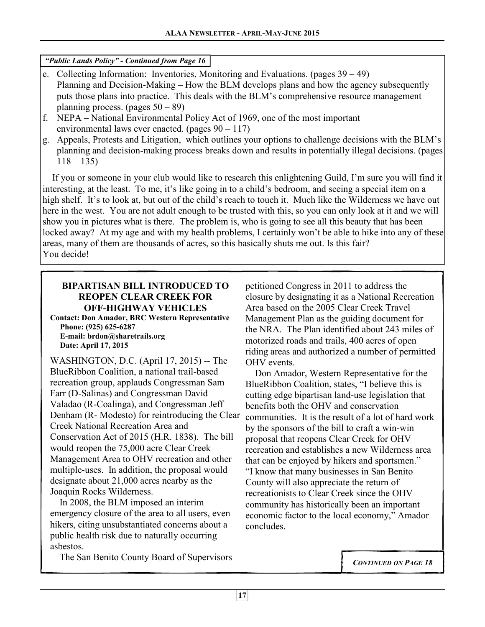*"Public Lands Policy" - Continued from Page 16* 

- e. Collecting Information: Inventories, Monitoring and Evaluations. (pages 39 49) Planning and Decision-Making – How the BLM develops plans and how the agency subsequently puts those plans into practice. This deals with the BLM's comprehensive resource management planning process. (pages  $50 - 89$ )
- f. NEPA National Environmental Policy Act of 1969, one of the most important environmental laws ever enacted. (pages  $90 - 117$ )
- g. Appeals, Protests and Litigation, which outlines your options to challenge decisions with the BLM's planning and decision-making process breaks down and results in potentially illegal decisions. (pages  $118 - 135$

 If you or someone in your club would like to research this enlightening Guild, I'm sure you will find it interesting, at the least. To me, it's like going in to a child's bedroom, and seeing a special item on a high shelf. It's to look at, but out of the child's reach to touch it. Much like the Wilderness we have out here in the west. You are not adult enough to be trusted with this, so you can only look at it and we will show you in pictures what is there. The problem is, who is going to see all this beauty that has been locked away? At my age and with my health problems, I certainly won't be able to hike into any of these areas, many of them are thousands of acres, so this basically shuts me out. Is this fair? You decide!

## **BIPARTISAN BILL INTRODUCED TO REOPEN CLEAR CREEK FOR OFF-HIGHWAY VEHICLES**

**Contact: Don Amador, BRC Western Representative Phone: (925) 625-6287 E-mail: brdon@sharetrails.org Date: April 17, 2015** 

WASHINGTON, D.C. (April 17, 2015) -- The BlueRibbon Coalition, a national trail-based recreation group, applauds Congressman Sam Farr (D-Salinas) and Congressman David Valadao (R-Coalinga), and Congressman Jeff Denham (R- Modesto) for reintroducing the Clear Creek National Recreation Area and Conservation Act of 2015 (H.R. 1838). The bill would reopen the 75,000 acre Clear Creek Management Area to OHV recreation and other multiple-uses. In addition, the proposal would designate about 21,000 acres nearby as the Joaquin Rocks Wilderness.

 In 2008, the BLM imposed an interim emergency closure of the area to all users, even hikers, citing unsubstantiated concerns about a public health risk due to naturally occurring asbestos.

The San Benito County Board of Supervisors

petitioned Congress in 2011 to address the closure by designating it as a National Recreation Area based on the 2005 Clear Creek Travel Management Plan as the guiding document for the NRA. The Plan identified about 243 miles of motorized roads and trails, 400 acres of open riding areas and authorized a number of permitted OHV events.

 Don Amador, Western Representative for the BlueRibbon Coalition, states, "I believe this is cutting edge bipartisan land-use legislation that benefits both the OHV and conservation communities. It is the result of a lot of hard work by the sponsors of the bill to craft a win-win proposal that reopens Clear Creek for OHV recreation and establishes a new Wilderness area that can be enjoyed by hikers and sportsmen." "I know that many businesses in San Benito County will also appreciate the return of recreationists to Clear Creek since the OHV community has historically been an important economic factor to the local economy," Amador concludes.

*CONTINUED ON PAGE 18*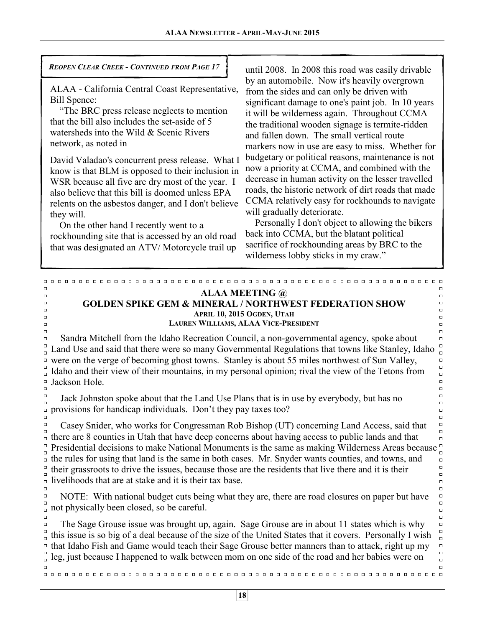## *REOPEN CLEAR CREEK - CONTINUED FROM PAGE 17*

ALAA - California Central Coast Representative, Bill Spence:

 "The BRC press release neglects to mention that the bill also includes the set-aside of 5 watersheds into the Wild & Scenic Rivers network, as noted in

David Valadao's concurrent press release. What I know is that BLM is opposed to their inclusion in WSR because all five are dry most of the year. I also believe that this bill is doomed unless EPA relents on the asbestos danger, and I don't believe they will.

 On the other hand I recently went to a rockhounding site that is accessed by an old road that was designated an ATV/ Motorcycle trail up

 $\Box$ 

 $\Box$ 

 $\Box$ 

 $\Box$  $\Box$ 

 $\Box$ 

 $\Box$ 

until 2008. In 2008 this road was easily drivable by an automobile. Now it's heavily overgrown from the sides and can only be driven with significant damage to one's paint job. In 10 years it will be wilderness again. Throughout CCMA the traditional wooden signage is termite-ridden and fallen down. The small vertical route markers now in use are easy to miss. Whether for budgetary or political reasons, maintenance is not now a priority at CCMA, and combined with the decrease in human activity on the lesser travelled roads, the historic network of dirt roads that made CCMA relatively easy for rockhounds to navigate will gradually deteriorate.

 Personally I don't object to allowing the bikers back into CCMA, but the blatant political sacrifice of rockhounding areas by BRC to the wilderness lobby sticks in my craw."

 $\Box$ 

 $\Box$ 

 $\Box$  $\Box$ 

 $\Box$ 

 $\Box$ 

 $\Box$ 

 $\Box$ 

 $\Box$ 

 $\Box$ 

 $\Box$ 

 $\Box$  $\Box$  $\Box$ 

 $\Box$  $\Box$ 

 $\Box$  $\Box$ 

 $\Box$ 

 $\Box$  $\Box$ 

#### **ALAA MEETING @ GOLDEN SPIKE GEM & MINERAL / NORTHWEST FEDERATION SHOW APRIL 10, 2015 OGDEN, UTAH LAUREN WILLIAMS, ALAA VICE-PRESIDENT**

 $\Box$  $\Box$  $\Box$  Sandra Mitchell from the Idaho Recreation Council, a non-governmental agency, spoke about  $\Box$  $\Box$  $\Box$ Land Use and said that there were so many Governmental Regulations that towns like Stanley, Idaho  $\Box$  $\Box$ were on the verge of becoming ghost towns. Stanley is about 55 miles northwest of Sun Valley,  $\Box$  $\overline{a}$  $\Box$  $\Box$ Idaho and their view of their mountains, in my personal opinion; rival the view of the Tetons from  $\Box$  $\Box$ Jackson Hole.  $\Box$  $\Box$  $\Box$ 

 $\Box$  Jack Johnston spoke about that the Land Use Plans that is in use by everybody, but has no  $\Box$ provisions for handicap individuals. Don't they pay taxes too?  $\Box$  $\Box$ 

 $\Box$  Casey Snider, who works for Congressman Rob Bishop (UT) concerning Land Access, said that  $\Box$  $\Box$  $\Box$ there are 8 counties in Utah that have deep concerns about having access to public lands and that  $\Box$  $\Box$  $\Box$ Presidential decisions to make National Monuments is the same as making Wilderness Areas because  $\Box$  $\overline{\phantom{a}}$  the rules for using that land is the same in both cases. Mr. Snyder wants counties, and towns, and  $\Box$  $\Box$ their grassroots to drive the issues, because those are the residents that live there and it is their  $\Box$  $\Box$  $\Box$ livelihoods that are at stake and it is their tax base.  $\Box$  $\Box$ 

 $\Box$  NOTE: With national budget cuts being what they are, there are road closures on paper but have  $\Box$  $\frac{1}{n}$  not physically been closed, so be careful.

 $\Box$  The Sage Grouse issue was brought up, again. Sage Grouse are in about 11 states which is why  $\Box$  $\Box$ this issue is so big of a deal because of the size of the United States that it covers. Personally I wish  $\Box$ that Idaho Fish and Game would teach their Sage Grouse better manners than to attack, right up my  $\Box$  $\Box$ leg, just because I happened to walk between mom on one side of the road and her babies were on  $\Box$  $\Box$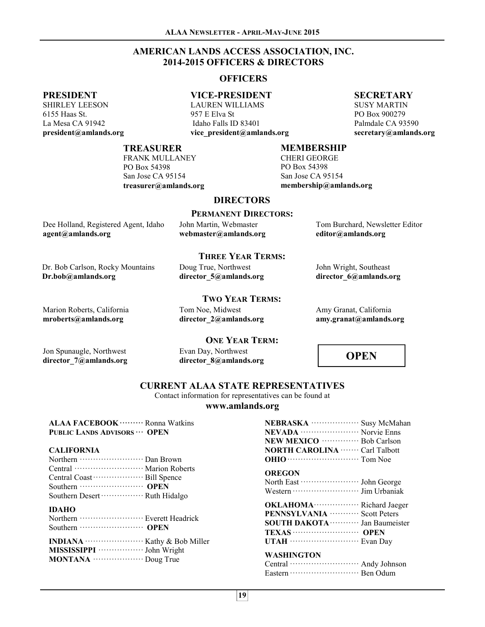#### **AMERICAN LANDS ACCESS ASSOCIATION, INC. 2014-2015 OFFICERS & DIRECTORS**

#### **OFFICERS**

#### **PRESIDENT**

SHIRLEY LEESON 6155 Haas St. La Mesa CA 91942 **president@amlands.org** 

## **VICE-PRESIDENT**

LAUREN WILLIAMS 957 E Elva St Idaho Falls ID 83401 **vice\_president@amlands.org** 

#### **SECRETARY**

SUSY MARTIN PO Box 900279 Palmdale CA 93590 **secretary@amlands.org** 

#### **TREASURER**

FRANK MULLANEY PO Box 54398 San Jose CA 95154 **treasurer@amlands.org** 

#### **MEMBERSHIP**

CHERI GEORGE PO Box 54398 San Jose CA 95154 **membership@amlands.org** 

#### **DIRECTORS PERMANENT DIRECTORS:**

| Dee Holland, Registered Agent, Idaho |  |
|--------------------------------------|--|
| $agent(a)$ amlands.org               |  |

John Martin, Webmaster **webmaster@amlands.org**  Tom Burchard, Newsletter Editor **editor@amlands.org** 

#### **THREE YEAR TERMS:**

Dr. Bob Carlson, Rocky Mountains **Dr.bob@amlands.org**  Doug True, Northwest **director\_5@amlands.org** 

Tom Noe, Midwest **director\_2@amlands.org** 

**TWO YEAR TERMS:** 

Marion Roberts, California **mroberts@amlands.org** 

#### **ONE YEAR TERM:**

Jon Spunaugle, Northwest **director\_7@amlands.org**  Evan Day, Northwest **director\_8@amlands.org** 

#### **OPEN**

Amy Granat, California **amy.granat@amlands.org** 

John Wright, Southeast **director\_6@amlands.org** 

#### **CURRENT ALAA STATE REPRESENTATIVES**

Contact information for representatives can be found at

#### **www.amlands.org**

**ALAA FACEBOOK ·········** Ronna Watkins **PUBLIC LANDS ADVISORS ··· OPEN** 

#### **CALIFORNIA**

#### **IDAHO**

| <b>INDIANA</b> $\cdots$ $\cdots$ $\cdots$ $\cdots$ $\cdots$ $\cdots$ Kathy & Bob Miller                                                                                                                                                                                                                                                   |  |
|-------------------------------------------------------------------------------------------------------------------------------------------------------------------------------------------------------------------------------------------------------------------------------------------------------------------------------------------|--|
| MISSISSIPPI ······················· John Wright                                                                                                                                                                                                                                                                                           |  |
| <b>MONTANA</b> $\cdots$ $\cdots$ $\cdots$ $\cdots$ $\cdots$ $\cdots$ $\cdots$ $\cdots$ $\cdots$ $\cdots$ $\cdots$ $\cdots$ $\cdots$ $\cdots$ $\cdots$ $\cdots$ $\cdots$ $\cdots$ $\cdots$ $\cdots$ $\cdots$ $\cdots$ $\cdots$ $\cdots$ $\cdots$ $\cdots$ $\cdots$ $\cdots$ $\cdots$ $\cdots$ $\cdots$ $\cdots$ $\cdots$ $\cdots$ $\cdots$ |  |

| NEBRASKA ······················ Susy McMahan<br><b>NEVADA</b> ····························· Norvie Enns<br>NEW MEXICO ················ Bob Carlson<br><b>NORTH CAROLINA ······· Carl Talbott</b> |  |
|--------------------------------------------------------------------------------------------------------------------------------------------------------------------------------------------------|--|
|                                                                                                                                                                                                  |  |
| <b>OREGON</b>                                                                                                                                                                                    |  |
|                                                                                                                                                                                                  |  |
|                                                                                                                                                                                                  |  |
| <b>OKLAHOMA</b> Richard Jaeger                                                                                                                                                                   |  |
| PENNSYLVANIA <b>Warrow Scott Peters</b>                                                                                                                                                          |  |
| <b>SOUTH DAKOTA</b> ············ Jan Baumeister                                                                                                                                                  |  |
|                                                                                                                                                                                                  |  |
| UTAH $\cdots$ Evan Day                                                                                                                                                                           |  |
| WASHINGTON                                                                                                                                                                                       |  |
| Central ······························ Andy Johnson                                                                                                                                              |  |
|                                                                                                                                                                                                  |  |
|                                                                                                                                                                                                  |  |